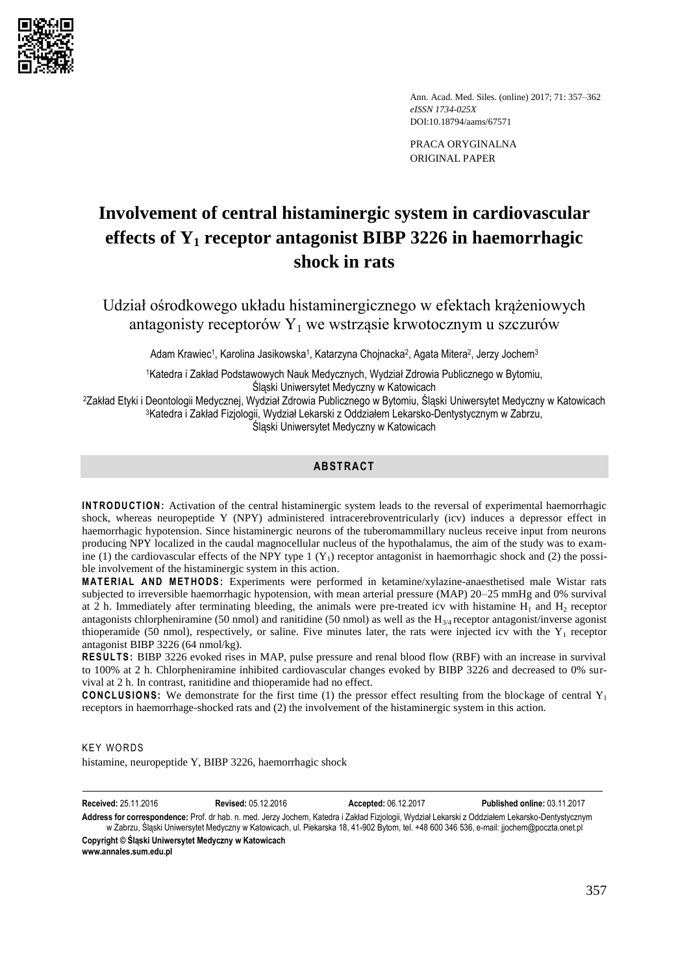

Ann. Acad. Med. Siles. (online) 2017; 71: 357–362 *eISSN 1734-025X*  DOI:10.18794/aams/67571

PRACA ORYGINALNA ORIGINAL PAPER

# **Involvement of central histaminergic system in cardiovascular effects of Y1 receptor antagonist BIBP 3226 in haemorrhagic shock in rats**

Udział ośrodkowego układu histaminergicznego w efektach krążeniowych antagonisty receptorów  $Y_1$  we wstrząsie krwotocznym u szczurów

Adam Krawiec<sup>1</sup>, Karolina Jasikowska<sup>1</sup>, Katarzyna Chojnacka<sup>2</sup>, Agata Mitera<sup>2</sup>, Jerzy Jochem<sup>3</sup>

<sup>1</sup>Katedra i Zakład Podstawowych Nauk Medycznych, Wydział Zdrowia Publicznego w Bytomiu, Śląski Uniwersytet Medyczny w Katowicach

<sup>2</sup>Zakład Etyki i Deontologii Medycznej, Wydział Zdrowia Publicznego w Bytomiu, Śląski Uniwersytet Medyczny w Katowicach <sup>3</sup>Katedra i Zakład Fizjologii, Wydział Lekarski z Oddziałem Lekarsko-Dentystycznym w Zabrzu, Śląski Uniwersytet Medyczny w Katowicach

# **ABSTRACT**

**INTRODUCTION:** Activation of the central histaminergic system leads to the reversal of experimental haemorrhagic shock, whereas neuropeptide Y (NPY) administered intracerebroventricularly (icv) induces a depressor effect in haemorrhagic hypotension. Since histaminergic neurons of the tuberomammillary nucleus receive input from neurons producing NPY localized in the caudal magnocellular nucleus of the hypothalamus, the aim of the study was to examine (1) the cardiovascular effects of the NPY type 1  $(Y_1)$  receptor antagonist in haemorrhagic shock and (2) the possible involvement of the histaminergic system in this action.

**MATERIAL AND METHODS:** Experiments were performed in ketamine/xylazine-anaesthetised male Wistar rats subjected to irreversible haemorrhagic hypotension, with mean arterial pressure (MAP) 20–25 mmHg and 0% survival at 2 h. Immediately after terminating bleeding, the animals were pre-treated icv with histamine  $H_1$  and  $H_2$  receptor antagonists chlorpheniramine (50 nmol) and ranitidine (50 nmol) as well as the  $H_{3/4}$  receptor antagonist/inverse agonist thioperamide (50 nmol), respectively, or saline. Five minutes later, the rats were injected icv with the  $Y_1$  receptor antagonist BIBP 3226 (64 nmol/kg).

**RES ULTS :** BIBP 3226 evoked rises in MAP, pulse pressure and renal blood flow (RBF) with an increase in survival to 100% at 2 h. Chlorpheniramine inhibited cardiovascular changes evoked by BIBP 3226 and decreased to 0% survival at 2 h. In contrast, ranitidine and thioperamide had no effect.

**CONCLUSIONS:** We demonstrate for the first time (1) the pressor effect resulting from the blockage of central  $Y_1$ receptors in haemorrhage-shocked rats and (2) the involvement of the histaminergic system in this action.

**KEY WORDS** 

histamine, neuropeptide Y, BIBP 3226, haemorrhagic shock

**Received:** 25.11.2016 **Revised:** 05.12.2016 **Accepted:** 06.12.2017 **Published online:** 03.11.2017 **Address for correspondence:** Prof. dr hab. n. med. Jerzy Jochem, Katedra i Zakład Fizjologii, Wydział Lekarski z Oddziałem Lekarsko-Dentystycznym w Zabrzu, Śląski Uniwersytet Medyczny w Katowicach, ul. Piekarska 18, 41-902 Bytom, tel. +48 600 346 536, e-mail: [jjochem@poczta.onet.pl](mailto:jjochem@poczta.onet.pl) **Copyright © Śląski Uniwersytet Medyczny w Katowicach**

**[www.annales.sum.edu.pl](http://www.annales.sum.edu.pl/)**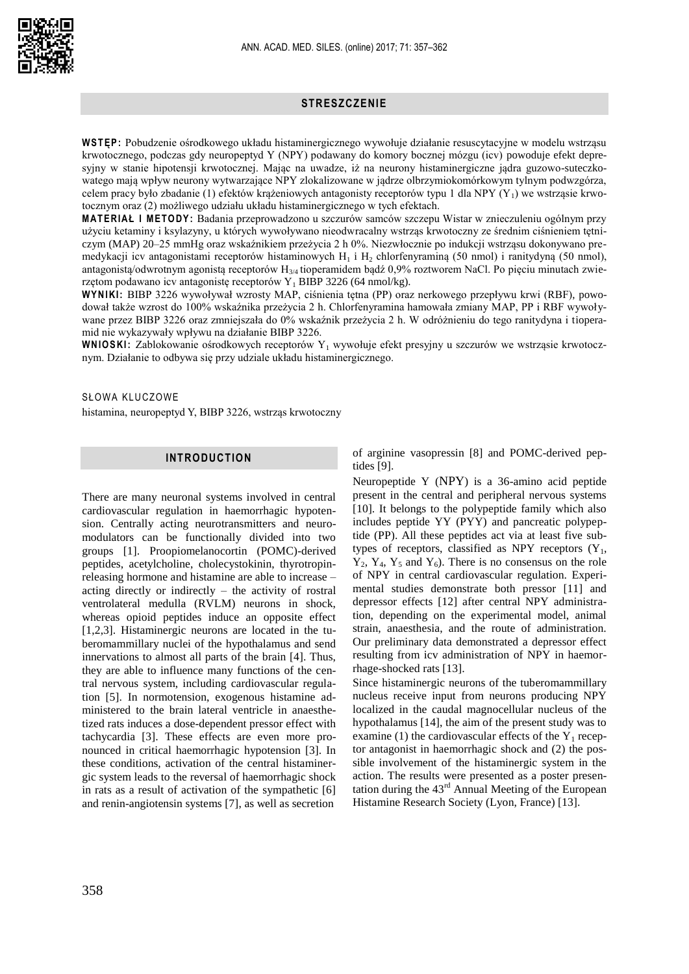# **STRESZCZENIE**

**WSTĘP :** Pobudzenie ośrodkowego układu histaminergicznego wywołuje działanie resuscytacyjne w modelu wstrząsu krwotocznego, podczas gdy neuropeptyd Y (NPY) podawany do komory bocznej mózgu (icv) powoduje efekt depresyjny w stanie hipotensji krwotocznej. Mając na uwadze, iż na neurony histaminergiczne jądra guzowo-suteczkowatego mają wpływ neurony wytwarzające NPY zlokalizowane w jądrze olbrzymiokomórkowym tylnym podwzgórza, celem pracy było zbadanie (1) efektów krążeniowych antagonisty receptorów typu 1 dla NPY (Y<sub>1</sub>) we wstrząsie krwotocznym oraz (2) możliwego udziału układu histaminergicznego w tych efektach.

**MAT ER IAŁ I M ETO DY :** Badania przeprowadzono u szczurów samców szczepu Wistar w znieczuleniu ogólnym przy użyciu ketaminy i ksylazyny, u których wywoływano nieodwracalny wstrząs krwotoczny ze średnim ciśnieniem tętniczym (MAP) 20–25 mmHg oraz wskaźnikiem przeżycia 2 h 0%. Niezwłocznie po indukcji wstrząsu dokonywano premedykacji icv antagonistami receptorów histaminowych H<sub>1</sub> i H<sub>2</sub> chlorfenyraminą (50 nmol) i ranitydyną (50 nmol), antagonistą/odwrotnym agonistą receptorów  $H_{3/4}$ tioperamidem bądź 0,9% roztworem NaCl. Po pięciu minutach zwierzętom podawano icv antagonistę receptorów  $Y_1$  BIBP 3226 (64 nmol/kg).

**WYN I KI :** BIBP 3226 wywoływał wzrosty MAP, ciśnienia tętna (PP) oraz nerkowego przepływu krwi (RBF), powodował także wzrost do 100% wskaźnika przeżycia 2 h. Chlorfenyramina hamowała zmiany MAP, PP i RBF wywoływane przez BIBP 3226 oraz zmniejszała do 0% wskaźnik przeżycia 2 h. W odróżnieniu do tego ranitydyna i tioperamid nie wykazywały wpływu na działanie BIBP 3226.

WNIOSKI: Zablokowanie ośrodkowych receptorów Y<sub>1</sub> wywołuje efekt presyjny u szczurów we wstrząsie krwotocznym. Działanie to odbywa się przy udziale układu histaminergicznego.

SŁOWA KLUCZOWE histamina, neuropeptyd Y, BIBP 3226, wstrząs krwotoczny

# **INTRODUCTION**

There are many neuronal systems involved in central cardiovascular regulation in haemorrhagic hypotension. Centrally acting neurotransmitters and neuromodulators can be functionally divided into two groups [1]. Proopiomelanocortin (POMC)-derived peptides, acetylcholine, cholecystokinin, thyrotropinreleasing hormone and histamine are able to increase – acting directly or indirectly – the activity of rostral ventrolateral medulla (RVLM) neurons in shock, whereas opioid peptides induce an opposite effect [1,2,3]. Histaminergic neurons are located in the tuberomammillary nuclei of the hypothalamus and send innervations to almost all parts of the brain [4]. Thus, they are able to influence many functions of the central nervous system, including cardiovascular regulation [5]. In normotension, exogenous histamine administered to the brain lateral ventricle in anaesthetized rats induces a dose-dependent pressor effect with tachycardia [3]. These effects are even more pronounced in critical haemorrhagic hypotension [3]. In these conditions, activation of the central histaminergic system leads to the reversal of haemorrhagic shock in rats as a result of activation of the sympathetic [6] and renin-angiotensin systems [7], as well as secretion

of arginine vasopressin [8] and POMC-derived peptides [9].

Neuropeptide Y (NPY) is a 36-amino acid peptide present in the central and peripheral nervous systems [10]. It belongs to the polypeptide family which also includes peptide YY (PYY) and pancreatic polypeptide (PP). All these peptides act via at least five subtypes of receptors, classified as NPY receptors  $(Y_1, Y_2, \ldots, Y_n)$  $Y_2$ ,  $Y_4$ ,  $Y_5$  and  $Y_6$ ). There is no consensus on the role of NPY in central cardiovascular regulation. Experimental studies demonstrate both pressor [11] and depressor effects [12] after central NPY administration, depending on the experimental model, animal strain, anaesthesia, and the route of administration. Our preliminary data demonstrated a depressor effect resulting from icv administration of NPY in haemorrhage-shocked rats [13].

Since histaminergic neurons of the tuberomammillary nucleus receive input from neurons producing NPY localized in the caudal magnocellular nucleus of the hypothalamus [14], the aim of the present study was to examine (1) the cardiovascular effects of the  $Y_1$  receptor antagonist in haemorrhagic shock and (2) the possible involvement of the histaminergic system in the action. The results were presented as a poster presentation during the  $43<sup>rd</sup>$  Annual Meeting of the European Histamine Research Society (Lyon, France) [13].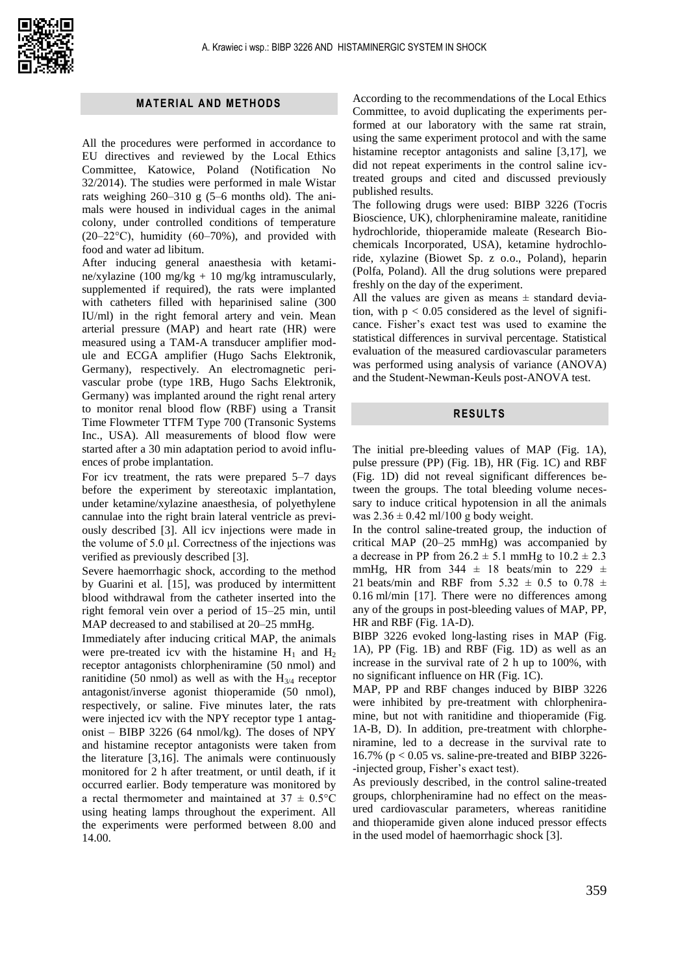## **MATERIAL AND METHODS**

All the procedures were performed in accordance to EU directives and reviewed by the Local Ethics Committee, Katowice, Poland (Notification No 32/2014). The studies were performed in male Wistar rats weighing 260–310 g (5–6 months old). The animals were housed in individual cages in the animal colony, under controlled conditions of temperature  $(20-22\degree C)$ , humidity  $(60-70\%)$ , and provided with food and water ad libitum.

After inducing general anaesthesia with ketamine/xylazine (100 mg/kg + 10 mg/kg intramuscularly, supplemented if required), the rats were implanted with catheters filled with heparinised saline (300 IU/ml) in the right femoral artery and vein. Mean arterial pressure (MAP) and heart rate (HR) were measured using a TAM-A transducer amplifier module and ECGA amplifier (Hugo Sachs Elektronik, Germany), respectively. An electromagnetic perivascular probe (type 1RB, Hugo Sachs Elektronik, Germany) was implanted around the right renal artery to monitor renal blood flow (RBF) using a Transit Time Flowmeter TTFM Type 700 (Transonic Systems Inc., USA). All measurements of blood flow were started after a 30 min adaptation period to avoid influences of probe implantation.

For icv treatment, the rats were prepared 5–7 days before the experiment by stereotaxic implantation, under ketamine/xylazine anaesthesia, of polyethylene cannulae into the right brain lateral ventricle as previously described [3]. All icv injections were made in the volume of  $5.0 \mu l$ . Correctness of the injections was verified as previously described [3].

Severe haemorrhagic shock, according to the method by Guarini et al. [15], was produced by intermittent blood withdrawal from the catheter inserted into the right femoral vein over a period of 15–25 min, until MAP decreased to and stabilised at 20–25 mmHg.

Immediately after inducing critical MAP, the animals were pre-treated icv with the histamine  $H_1$  and  $H_2$ receptor antagonists chlorpheniramine (50 nmol) and ranitidine (50 nmol) as well as with the  $H_{3/4}$  receptor antagonist/inverse agonist thioperamide (50 nmol), respectively, or saline. Five minutes later, the rats were injected icv with the NPY receptor type 1 antagonist – BIBP 3226 (64 nmol/kg). The doses of NPY and histamine receptor antagonists were taken from the literature [3,16]. The animals were continuously monitored for 2 h after treatment, or until death, if it occurred earlier. Body temperature was monitored by a rectal thermometer and maintained at  $37 \pm 0.5$ °C using heating lamps throughout the experiment. All the experiments were performed between 8.00 and 14.00.

According to the recommendations of the Local Ethics Committee, to avoid duplicating the experiments performed at our laboratory with the same rat strain, using the same experiment protocol and with the same histamine receptor antagonists and saline [3,17], we did not repeat experiments in the control saline icvtreated groups and cited and discussed previously published results.

The following drugs were used: BIBP 3226 (Tocris Bioscience, UK), chlorpheniramine maleate, ranitidine hydrochloride, thioperamide maleate (Research Biochemicals Incorporated, USA), ketamine hydrochloride, xylazine (Biowet Sp. z o.o., Poland), heparin (Polfa, Poland). All the drug solutions were prepared freshly on the day of the experiment.

All the values are given as means  $\pm$  standard deviation, with  $p < 0.05$  considered as the level of significance. Fisher's exact test was used to examine the statistical differences in survival percentage. Statistical evaluation of the measured cardiovascular parameters was performed using analysis of variance (ANOVA) and the Student-Newman-Keuls post-ANOVA test.

# **RESULTS**

The initial pre-bleeding values of MAP (Fig. 1A), pulse pressure (PP) (Fig. 1B), HR (Fig. 1C) and RBF (Fig. 1D) did not reveal significant differences between the groups. The total bleeding volume necessary to induce critical hypotension in all the animals was  $2.36 \pm 0.42$  ml/100 g body weight.

In the control saline-treated group, the induction of critical MAP (20–25 mmHg) was accompanied by a decrease in PP from  $26.2 \pm 5.1$  mmHg to  $10.2 \pm 2.3$ mmHg, HR from  $344 \pm 18$  beats/min to  $229 \pm 18$ 21 beats/min and RBF from 5.32  $\pm$  0.5 to 0.78  $\pm$ 0.16 ml/min [17]. There were no differences among any of the groups in post-bleeding values of MAP, PP, HR and RBF (Fig. 1A-D).

BIBP 3226 evoked long-lasting rises in MAP (Fig. 1A), PP (Fig. 1B) and RBF (Fig. 1D) as well as an increase in the survival rate of 2 h up to 100%, with no significant influence on HR (Fig. 1C).

MAP, PP and RBF changes induced by BIBP 3226 were inhibited by pre-treatment with chlorpheniramine, but not with ranitidine and thioperamide (Fig. 1A-B, D). In addition, pre-treatment with chlorpheniramine, led to a decrease in the survival rate to 16.7% ( $p < 0.05$  vs. saline-pre-treated and BIBP 3226--injected group, Fisher's exact test).

As previously described, in the control saline-treated groups, chlorpheniramine had no effect on the measured cardiovascular parameters, whereas ranitidine and thioperamide given alone induced pressor effects in the used model of haemorrhagic shock [3].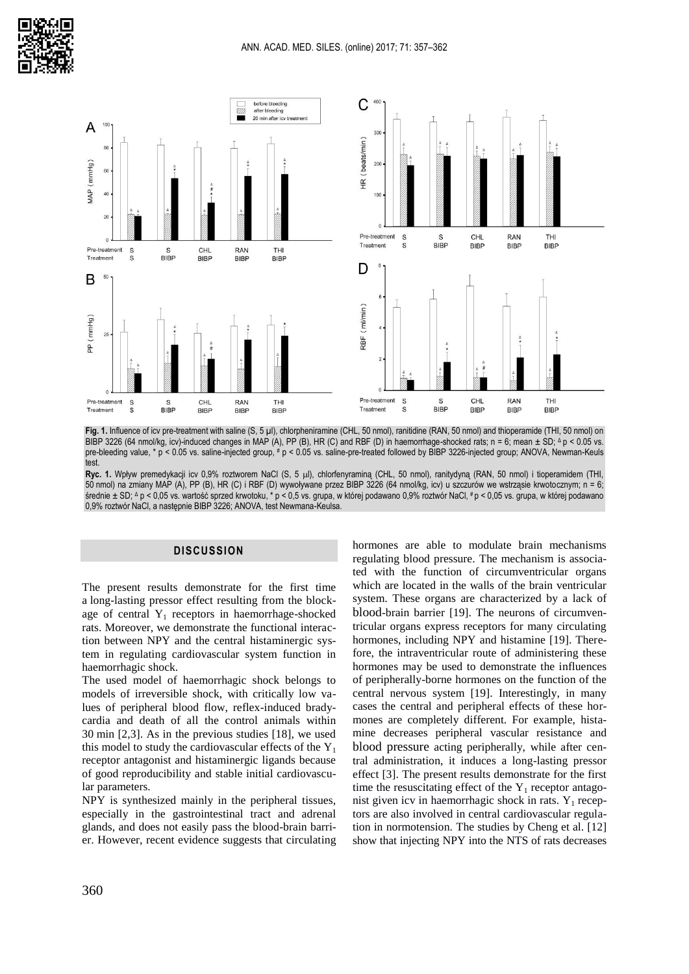



Fig. 1. Influence of icv pre-treatment with saline (S, 5 µl), chlorpheniramine (CHL, 50 nmol), ranitidine (RAN, 50 nmol) and thioperamide (THI, 50 nmol) on BIBP 3226 (64 nmol/kg, icv)-induced changes in MAP (A), PP (B), HR (C) and RBF (D) in haemorrhage-shocked rats; n = 6; mean ± SD; <sup>Δ</sup> p < 0.05 vs. pre-bleeding value, \* p < 0.05 vs. saline-injected group, # p < 0.05 vs. saline-pre-treated followed by BIBP 3226-injected group; ANOVA, Newman-Keuls test.

Ryc. 1. Wpływ premedykacji icv 0,9% roztworem NaCl (S, 5 µl), chlorfenyraminą (CHL, 50 nmol), ranitydyną (RAN, 50 nmol) i tioperamidem (THI, 50 nmol) na zmiany MAP (A), PP (B), HR (C) i RBF (D) wywoływane przez BIBP 3226 (64 nmol/kg, icv) u szczurów we wstrząsie krwotocznym; n = 6; średnie ± SD; <sup>Δ</sup> p < 0,05 vs. wartość sprzed krwotoku, \* p < 0,5 vs. grupa, w której podawano 0,9% roztwór NaCl, # p < 0,05 vs. grupa, w której podawano 0,9% roztwór NaCl, a następnie BIBP 3226; ANOVA, test Newmana-Keulsa.

# **DISCUSSION**

The present results demonstrate for the first time a long-lasting pressor effect resulting from the blockage of central  $Y_1$  receptors in haemorrhage-shocked rats. Moreover, we demonstrate the functional interaction between NPY and the central histaminergic system in regulating cardiovascular system function in haemorrhagic shock.

The used model of haemorrhagic shock belongs to models of irreversible shock, with critically low values of peripheral blood flow, reflex-induced bradycardia and death of all the control animals within 30 min [2,3]. As in the previous studies [18], we used this model to study the cardiovascular effects of the  $Y_1$ receptor antagonist and histaminergic ligands because of good reproducibility and stable initial cardiovascular parameters.

NPY is synthesized mainly in the peripheral tissues, especially in the gastrointestinal tract and adrenal glands, and does not easily pass the blood-brain barrier. However, recent evidence suggests that circulating hormones are able to modulate brain mechanisms regulating blood pressure. The mechanism is associated with the function of circumventricular organs which are located in the walls of the brain ventricular system. These organs are characterized by a lack of blood-brain barrier [19]. The neurons of circumventricular organs express receptors for many circulating hormones, including NPY and histamine [19]. Therefore, the intraventricular route of administering these hormones may be used to demonstrate the influences of peripherally-borne hormones on the function of the central nervous system [19]. Interestingly, in many cases the central and peripheral effects of these hormones are completely different. For example, histamine decreases peripheral vascular resistance and blood pressure acting peripherally, while after central administration, it induces a long-lasting pressor effect [3]. The present results demonstrate for the first time the resuscitating effect of the  $Y_1$  receptor antagonist given icv in haemorrhagic shock in rats.  $Y_1$  receptors are also involved in central cardiovascular regulation in normotension. The studies by Cheng et al. [12] show that injecting NPY into the NTS of rats decreases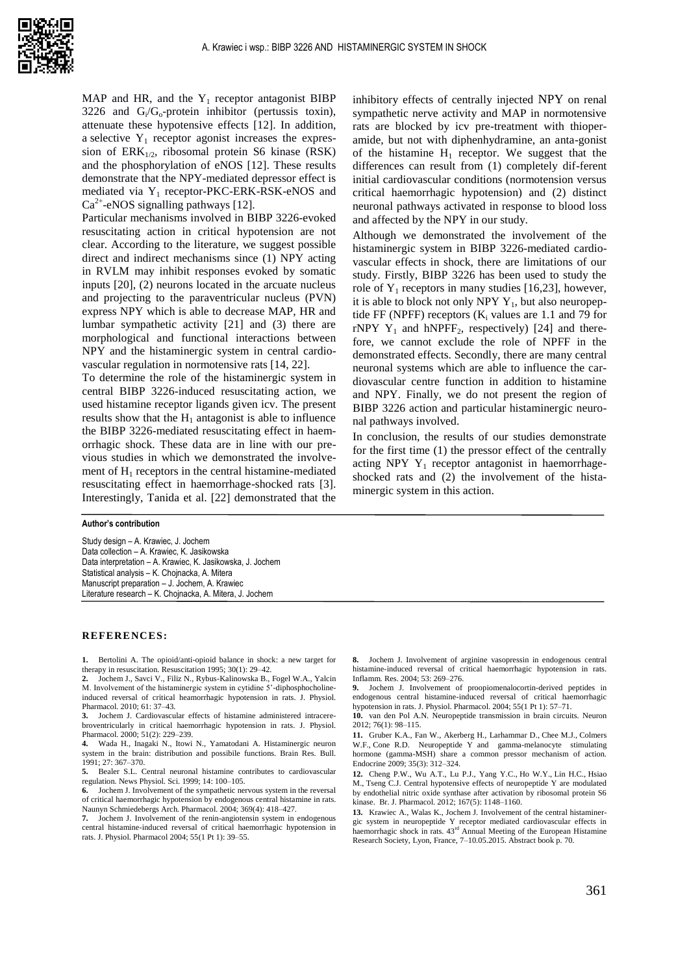

MAP and HR, and the  $Y_1$  receptor antagonist BIBP 3226 and  $G_i/G_o$ -protein inhibitor (pertussis toxin), attenuate these hypotensive effects [12]. In addition, a selective  $Y_1$  receptor agonist increases the expression of  $ERK_{1/2}$ , ribosomal protein S6 kinase (RSK) and the phosphorylation of eNOS [12]. These results demonstrate that the NPY-mediated depressor effect is mediated via  $Y_1$  receptor-PKC-ERK-RSK-eNOS and  $Ca^{2+}$ -eNOS signalling pathways [12].

Particular mechanisms involved in BIBP 3226-evoked resuscitating action in critical hypotension are not clear. According to the literature, we suggest possible direct and indirect mechanisms since (1) NPY acting in RVLM may inhibit responses evoked by somatic inputs [20], (2) neurons located in the arcuate nucleus and projecting to the paraventricular nucleus (PVN) express NPY which is able to decrease MAP, HR and lumbar sympathetic activity [21] and (3) there are morphological and functional interactions between NPY and the histaminergic system in central cardiovascular regulation in normotensive rats [14, 22].

To determine the role of the histaminergic system in central BIBP 3226-induced resuscitating action, we used histamine receptor ligands given icv. The present results show that the  $H_1$  antagonist is able to influence the BIBP 3226-mediated resuscitating effect in haemorrhagic shock. These data are in line with our previous studies in which we demonstrated the involvement of  $H_1$  receptors in the central histamine-mediated resuscitating effect in haemorrhage-shocked rats [3]. Interestingly, Tanida et al. [22] demonstrated that the inhibitory effects of centrally injected NPY on renal sympathetic nerve activity and MAP in normotensive rats are blocked by icv pre-treatment with thioperamide, but not with diphenhydramine, an anta-gonist of the histamine  $H_1$  receptor. We suggest that the differences can result from (1) completely dif-ferent initial cardiovascular conditions (normotension versus critical haemorrhagic hypotension) and (2) distinct neuronal pathways activated in response to blood loss and affected by the NPY in our study.

Although we demonstrated the involvement of the histaminergic system in BIBP 3226-mediated cardiovascular effects in shock, there are limitations of our study. Firstly, BIBP 3226 has been used to study the role of  $Y_1$  receptors in many studies [16,23], however, it is able to block not only NPY  $Y_1$ , but also neuropeptide FF (NPFF) receptors  $(K_i$  values are 1.1 and 79 for rNPY  $Y_1$  and hNPFF<sub>2</sub>, respectively) [24] and therefore, we cannot exclude the role of NPFF in the demonstrated effects. Secondly, there are many central neuronal systems which are able to influence the cardiovascular centre function in addition to histamine and NPY. Finally, we do not present the region of BIBP 3226 action and particular histaminergic neuronal pathways involved.

In conclusion, the results of our studies demonstrate for the first time (1) the pressor effect of the centrally acting NPY  $Y_1$  receptor antagonist in haemorrhageshocked rats and (2) the involvement of the histaminergic system in this action.

### **Author's contribution**

Study design – A. Krawiec, J. Jochem Data collection – A. Krawiec, K. Jasikowska Data interpretation – A. Krawiec, K. Jasikowska, J. Jochem Statistical analysis – K. Chojnacka, A. Mitera Manuscript preparation – J. Jochem, A. Krawiec Literature research – K. Chojnacka, A. Mitera, J. Jochem

### **REFERENCES:**

**1.** Bertolini A. The opioid/anti-opioid balance in shock: a new target for therapy in resuscitation. Resuscitation 1995; 30(1): 29–42.

**2.** Jochem J., Savci V., Filiz N., Rybus-Kalinowska B., Fogel W.A., Yalcin M. Involvement of the histaminergic system in cytidine 5'-diphosphocholineinduced reversal of critical heamorrhagic hypotension in rats. J. Physiol. Pharmacol. 2010; 61: 37–43.

**3.** Jochem J. Cardiovascular effects of histamine administered intracerebroventricularly in critical haemorrhagic hypotension in rats. J. Physiol. Pharmacol. 2000; 51(2): 229–239.

**4.** Wada H., Inagaki N., Itowi N., Yamatodani A. Histaminergic neuron system in the brain: distribution and possibile functions. Brain Res. Bull. 1991; 27: 367–370.

**5.** Bealer S.L. Central neuronal histamine contributes to cardiovascular regulation. News Physiol. Sci. 1999; 14: 100–105.

**6.** Jochem J. Involvement of the sympathetic nervous system in the reversal of critical haemorrhagic hypotension by endogenous central histamine in rats. Naunyn Schmiedebergs Arch. Pharmacol. 2004; 369(4): 418–427.

**7.** Jochem J. Involvement of the renin-angiotensin system in endogenous central histamine-induced reversal of critical haemorrhagic hypotension in rats. J. Physiol. Pharmacol 2004; 55(1 Pt 1): 39–55.

**8.** Jochem J. Involvement of arginine vasopressin in endogenous central histamine-induced reversal of critical haemorrhagic hypotension in rats. Inflamm. Res. 2004; 53: 269–276.

**9.** Jochem J. Involvement of proopiomenalocortin-derived peptides in endogenous central histamine-induced reversal of critical haemorrhagic hypotension in rats. J. Physiol. Pharmacol. 2004; 55(1 Pt 1): 57–71.

**10.** van den Pol A.N. Neuropeptide transmission in brain circuits. Neuron 2012; 76(1): 98–115.

**11.** Gruber K.A., Fan W., Akerberg H., [Larhammar D.](https://www.ncbi.nlm.nih.gov/pubmed/?term=Larhammar%20D%5BAuthor%5D&cauthor=true&cauthor_uid=19363600)[, Chee M.J.](https://www.ncbi.nlm.nih.gov/pubmed/?term=Chee%20MJ%5BAuthor%5D&cauthor=true&cauthor_uid=19363600)[, Colmers](https://www.ncbi.nlm.nih.gov/pubmed/?term=Colmers%20WF%5BAuthor%5D&cauthor=true&cauthor_uid=19363600)  [W.F.](https://www.ncbi.nlm.nih.gov/pubmed/?term=Colmers%20WF%5BAuthor%5D&cauthor=true&cauthor_uid=19363600)[, Cone R.D.](https://www.ncbi.nlm.nih.gov/pubmed/?term=Cone%20RD%5BAuthor%5D&cauthor=true&cauthor_uid=19363600) Neuropeptide Y and gamma-melanocyte stimulating hormone (gamma-MSH) share a common pressor mechanism of action. Endocrine 2009; 35(3): 312–324.

**12.** Cheng P.W., Wu A.T., Lu P.J., [Yang Y.C.,](https://www.ncbi.nlm.nih.gov/pubmed/?term=Yang%20YC%5BAuthor%5D&cauthor=true&cauthor_uid=22708658) [Ho W.Y.,](https://www.ncbi.nlm.nih.gov/pubmed/?term=Ho%20WY%5BAuthor%5D&cauthor=true&cauthor_uid=22708658) [Lin H.C.](https://www.ncbi.nlm.nih.gov/pubmed/?term=Lin%20HC%5BAuthor%5D&cauthor=true&cauthor_uid=22708658)[, Hsiao](https://www.ncbi.nlm.nih.gov/pubmed/?term=Hsiao%20M%5BAuthor%5D&cauthor=true&cauthor_uid=22708658)  [M.](https://www.ncbi.nlm.nih.gov/pubmed/?term=Hsiao%20M%5BAuthor%5D&cauthor=true&cauthor_uid=22708658)[, Tseng C.J.](https://www.ncbi.nlm.nih.gov/pubmed/?term=Tseng%20CJ%5BAuthor%5D&cauthor=true&cauthor_uid=22708658) Central hypotensive effects of neuropeptide Y are modulated by endothelial nitric oxide synthase after activation by ribosomal protein S6 kinase. Br. J. Pharmacol. 2012; 167(5): 1148–1160.

**13.** Krawiec A., Walas K., Jochem J. Involvement of the central histaminergic system in neuropeptide Y receptor mediated cardiovascular effects in haemorrhagic shock in rats.  $43<sup>rd</sup>$  Annual Meeting of the European Histamine Research Society, Lyon, France, 7–10.05.2015. Abstract book p. 70.